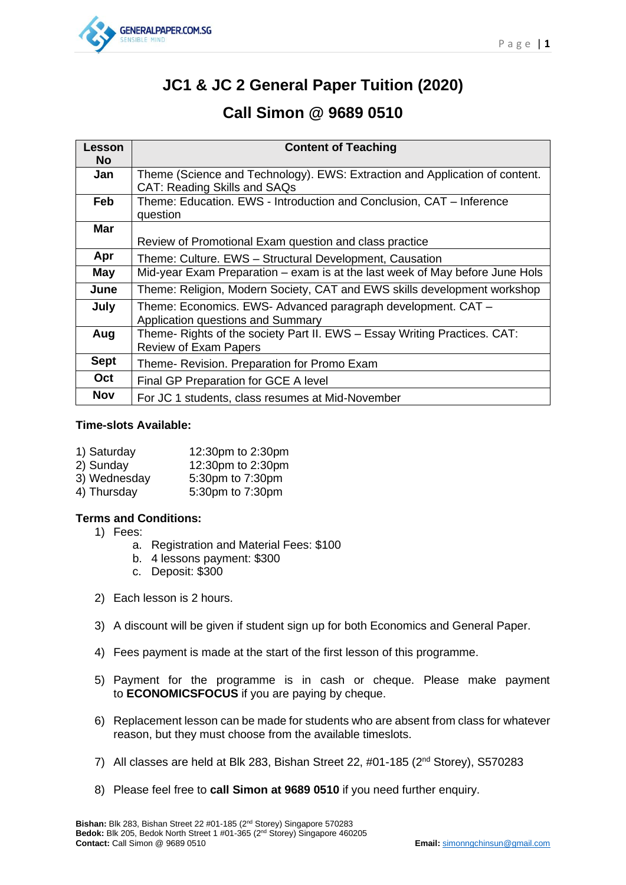

# **JC1 & JC 2 General Paper Tuition (2020)**

# **Call Simon @ 9689 0510**

| Lesson<br><b>No</b> | <b>Content of Teaching</b>                                                                                         |
|---------------------|--------------------------------------------------------------------------------------------------------------------|
| Jan                 | Theme (Science and Technology). EWS: Extraction and Application of content.<br><b>CAT: Reading Skills and SAQs</b> |
| Feb                 | Theme: Education. EWS - Introduction and Conclusion, CAT - Inference<br>question                                   |
| <b>Mar</b>          | Review of Promotional Exam question and class practice                                                             |
| Apr                 | Theme: Culture. EWS - Structural Development, Causation                                                            |
| May                 | Mid-year Exam Preparation - exam is at the last week of May before June Hols                                       |
| June                | Theme: Religion, Modern Society, CAT and EWS skills development workshop                                           |
| July                | Theme: Economics. EWS- Advanced paragraph development. CAT -<br>Application questions and Summary                  |
| Aug                 | Theme- Rights of the society Part II. EWS - Essay Writing Practices. CAT:<br><b>Review of Exam Papers</b>          |
| <b>Sept</b>         | Theme- Revision. Preparation for Promo Exam                                                                        |
| <b>Oct</b>          | Final GP Preparation for GCE A level                                                                               |
| <b>Nov</b>          | For JC 1 students, class resumes at Mid-November                                                                   |

### **Time-slots Available:**

| 1) Saturday  | 12:30pm to 2:30pm |
|--------------|-------------------|
| 2) Sunday    | 12:30pm to 2:30pm |
| 3) Wednesday | 5:30pm to 7:30pm  |
| 4) Thursday  | 5:30pm to 7:30pm  |
|              |                   |

### **Terms and Conditions:**

- 1) Fees:
	- a. Registration and Material Fees: \$100
	- b. 4 lessons payment: \$300
	- c. Deposit: \$300
- 2) Each lesson is 2 hours.
- 3) A discount will be given if student sign up for both Economics and General Paper.
- 4) Fees payment is made at the start of the first lesson of this programme.
- 5) Payment for the programme is in cash or cheque. Please make payment to **ECONOMICSFOCUS** if you are paying by cheque.
- 6) Replacement lesson can be made for students who are absent from class for whatever reason, but they must choose from the available timeslots.
- 7) All classes are held at Blk 283, Bishan Street 22, #01-185 (2nd Storey), S570283
- 8) Please feel free to **call Simon at 9689 0510** if you need further enquiry.